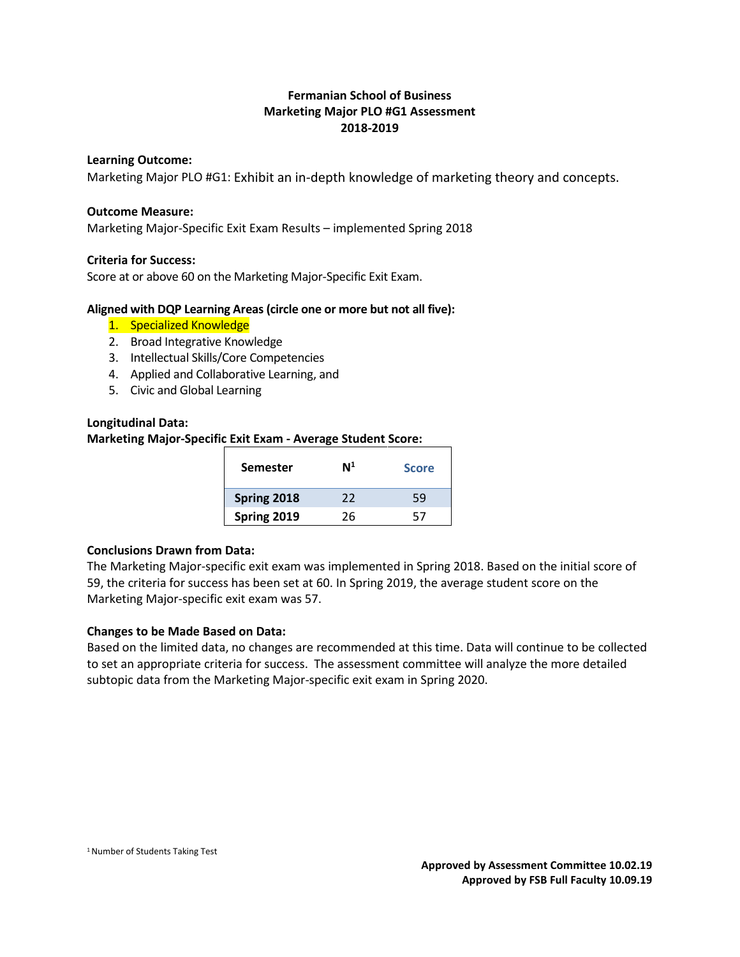# **Fermanian School of Business Marketing Major PLO #G1 Assessment 2018-2019**

#### **Learning Outcome:**

Marketing Major PLO #G1: Exhibit an in-depth knowledge of marketing theory and concepts.

#### **Outcome Measure:**

Marketing Major-Specific Exit Exam Results – implemented Spring 2018

#### **Criteria for Success:**

Score at or above 60 on the Marketing Major-Specific Exit Exam.

#### **Aligned with DQP Learning Areas (circle one or more but not all five):**

- 1. Specialized Knowledge
- 2. Broad Integrative Knowledge
- 3. Intellectual Skills/Core Competencies
- 4. Applied and Collaborative Learning, and
- 5. Civic and Global Learning

#### **Longitudinal Data:**

# **Marketing Major-Specific Exit Exam - Average Student Score:**

| <b>Semester</b> | $\mathsf{N}^1$ | <b>Score</b> |
|-----------------|----------------|--------------|
| Spring 2018     | 22             | 59           |
| Spring 2019     | 26             | 57           |

#### **Conclusions Drawn from Data:**

The Marketing Major-specific exit exam was implemented in Spring 2018. Based on the initial score of 59, the criteria for success has been set at 60. In Spring 2019, the average student score on the Marketing Major-specific exit exam was 57.

#### **Changes to be Made Based on Data:**

Based on the limited data, no changes are recommended at this time. Data will continue to be collected to set an appropriate criteria for success. The assessment committee will analyze the more detailed subtopic data from the Marketing Major-specific exit exam in Spring 2020.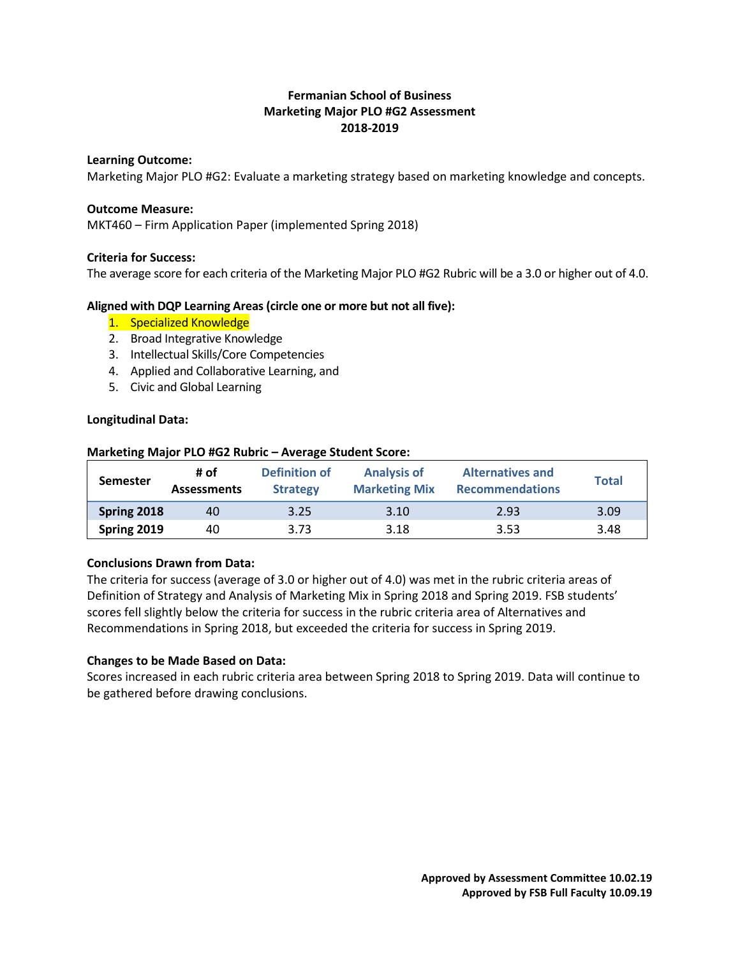# **Fermanian School of Business Marketing Major PLO #G2 Assessment 2018-2019**

#### **Learning Outcome:**

Marketing Major PLO #G2: Evaluate a marketing strategy based on marketing knowledge and concepts.

#### **Outcome Measure:**

MKT460 – Firm Application Paper (implemented Spring 2018)

#### **Criteria for Success:**

The average score for each criteria of the Marketing Major PLO #G2 Rubric will be a 3.0 or higher out of 4.0.

#### **Aligned with DQP Learning Areas (circle one or more but not all five):**

- 1. Specialized Knowledge
- 2. Broad Integrative Knowledge
- 3. Intellectual Skills/Core Competencies
- 4. Applied and Collaborative Learning, and
- 5. Civic and Global Learning

#### **Longitudinal Data:**

| <b>Semester</b> | # of<br><b>Assessments</b> | Definition of<br><b>Strategy</b> | <b>Analysis of</b><br><b>Marketing Mix</b> | <b>Alternatives and</b><br><b>Recommendations</b> | <b>Total</b> |
|-----------------|----------------------------|----------------------------------|--------------------------------------------|---------------------------------------------------|--------------|
| Spring 2018     | 40                         | 3.25                             | 3.10                                       | 2.93                                              | 3.09         |
| Spring 2019     | 40                         | 3.73                             | 3.18                                       | 3.53                                              | 3.48         |

#### **Marketing Major PLO #G2 Rubric – Average Student Score:**

### **Conclusions Drawn from Data:**

The criteria for success (average of 3.0 or higher out of 4.0) was met in the rubric criteria areas of Definition of Strategy and Analysis of Marketing Mix in Spring 2018 and Spring 2019. FSB students' scores fell slightly below the criteria for success in the rubric criteria area of Alternatives and Recommendations in Spring 2018, but exceeded the criteria for success in Spring 2019.

#### **Changes to be Made Based on Data:**

Scores increased in each rubric criteria area between Spring 2018 to Spring 2019. Data will continue to be gathered before drawing conclusions.